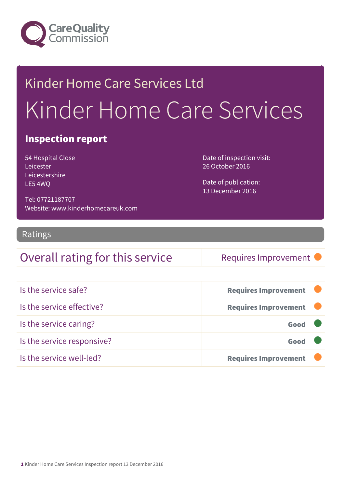

# Kinder Home Care Services Ltd Kinder Home Care Services

### Inspection report

54 Hospital Close Leicester Leicestershire LE5 4WQ

Date of inspection visit: 26 October 2016

Date of publication: 13 December 2016

Tel: 07721187707 Website: www.kinderhomecareuk.com

#### Ratings

### Overall rating for this service Requires Improvement

| Is the service safe?       | <b>Requires Improvement</b> |
|----------------------------|-----------------------------|
| Is the service effective?  | <b>Requires Improvement</b> |
| Is the service caring?     | Good                        |
| Is the service responsive? | Good                        |
| Is the service well-led?   | <b>Requires Improvement</b> |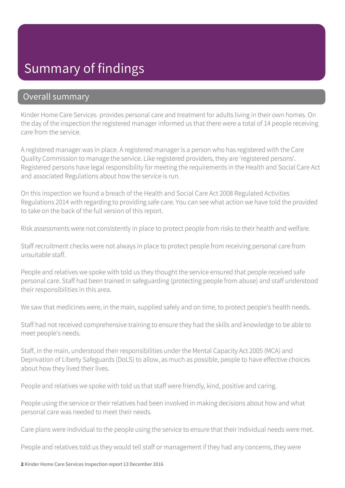### Summary of findings

#### Overall summary

Kinder Home Care Services provides personal care and treatment for adults living in their own homes. On the day of the inspection the registered manager informed us that there were a total of 14 people receiving care from the service.

A registered manager was in place. A registered manager is a person who has registered with the Care Quality Commission to manage the service. Like registered providers, they are 'registered persons'. Registered persons have legal responsibility for meeting the requirements in the Health and Social Care Act and associated Regulations about how the service is run.

On this inspection we found a breach of the Health and Social Care Act 2008 Regulated Activities Regulations 2014 with regarding to providing safe care. You can see what action we have told the provided to take on the back of the full version of this report.

Risk assessments were not consistently in place to protect people from risks to their health and welfare.

Staff recruitment checks were not always in place to protect people from receiving personal care from unsuitable staff.

People and relatives we spoke with told us they thought the service ensured that people received safe personal care. Staff had been trained in safeguarding (protecting people from abuse) and staff understood their responsibilities in this area.

We saw that medicines were, in the main, supplied safely and on time, to protect people's health needs.

Staff had not received comprehensive training to ensure they had the skills and knowledge to be able to meet people's needs.

Staff, in the main, understood their responsibilities under the Mental Capacity Act 2005 (MCA) and Deprivation of Liberty Safeguards (DoLS) to allow, as much as possible, people to have effective choices about how they lived their lives.

People and relatives we spoke with told us that staff were friendly, kind, positive and caring.

People using the service or their relatives had been involved in making decisions about how and what personal care was needed to meet their needs.

Care plans were individual to the people using the service to ensure that their individual needs were met.

People and relatives told us they would tell staff or management if they had any concerns, they were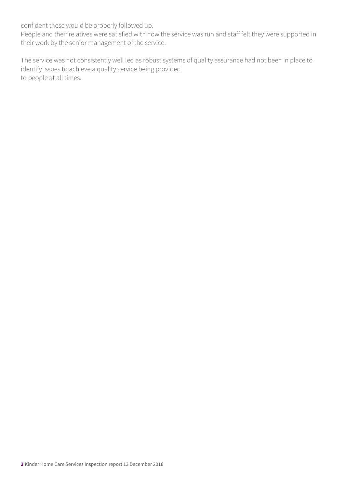confident these would be properly followed up.

People and their relatives were satisfied with how the service was run and staff felt they were supported in their work by the senior management of the service.

The service was not consistently well led as robust systems of quality assurance had not been in place to identify issues to achieve a quality service being provided to people at all times.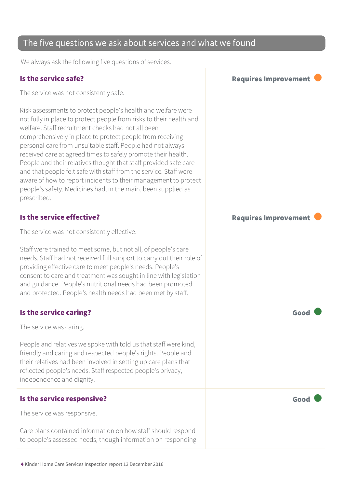#### The five questions we ask about services and what we found

We always ask the following five questions of services.

#### Is the service safe? The service safe of the service safe of the service safe of the service safe of the service service service service service service service service service service service service service service servi

The service was not consistently safe.

Risk assessments to protect people's health and welfare were not fully in place to protect people from risks to their health and welfare. Staff recruitment checks had not all been comprehensively in place to protect people from receiving personal care from unsuitable staff. People had not always received care at agreed times to safely promote their health. People and their relatives thought that staff provided safe care and that people felt safe with staff from the service. Staff were aware of how to report incidents to their management to protect people's safety. Medicines had, in the main, been supplied as prescribed.

#### Is the service effective?  $\blacksquare$

The service was not consistently effective.

Staff were trained to meet some, but not all, of people's care needs. Staff had not received full support to carry out their role of providing effective care to meet people's needs. People's consent to care and treatment was sought in line with legislation and guidance. People's nutritional needs had been promoted and protected. People's health needs had been met by staff.

#### Is the service caring? The service caring of the service care  $\blacksquare$

The service was caring.

People and relatives we spoke with told us that staff were kind, friendly and caring and respected people's rights. People and their relatives had been involved in setting up care plans that reflected people's needs. Staff respected people's privacy, independence and dignity.

#### Is the service responsive?  $\Box$  Good  $\Box$

The service was responsive.

Care plans contained information on how staff should respond to people's assessed needs, though information on responding

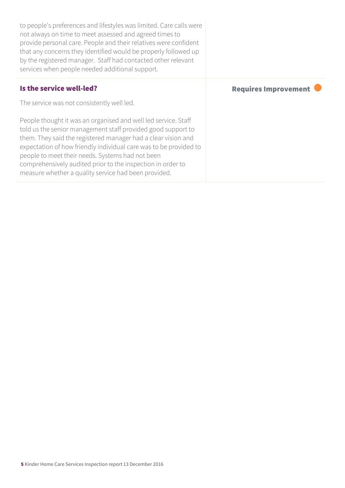| to people's preferences and lifestyles was limited. Care calls were<br>not always on time to meet assessed and agreed times to<br>provide personal care. People and their relatives were confident<br>that any concerns they identified would be properly followed up<br>by the registered manager. Staff had contacted other relevant<br>services when people needed additional support.                                                       |                      |
|-------------------------------------------------------------------------------------------------------------------------------------------------------------------------------------------------------------------------------------------------------------------------------------------------------------------------------------------------------------------------------------------------------------------------------------------------|----------------------|
| Is the service well-led?                                                                                                                                                                                                                                                                                                                                                                                                                        | Requires Improvement |
| The service was not consistently well led.                                                                                                                                                                                                                                                                                                                                                                                                      |                      |
| People thought it was an organised and well led service. Staff<br>told us the senior management staff provided good support to<br>them. They said the registered manager had a clear vision and<br>expectation of how friendly individual care was to be provided to<br>people to meet their needs. Systems had not been<br>comprehensively audited prior to the inspection in order to<br>measure whether a quality service had been provided. |                      |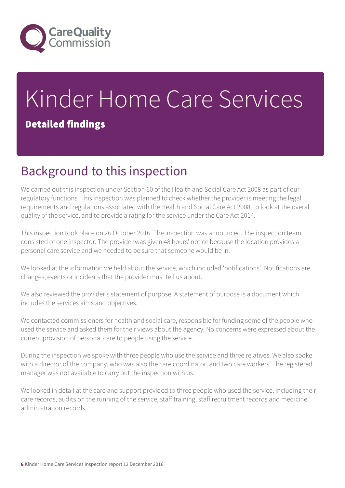

# Kinder Home Care Services Detailed findings

# Background to this inspection

We carried out this inspection under Section 60 of the Health and Social Care Act 2008 as part of our regulatory functions. This inspection was planned to check whether the provider is meeting the legal requirements and regulations associated with the Health and Social Care Act 2008, to look at the overall quality of the service, and to provide a rating for the service under the Care Act 2014.

This inspection took place on 26 October 2016. The inspection was announced. The inspection team consisted of one inspector. The provider was given 48 hours' notice because the location provides a personal care service and we needed to be sure that someone would be in.

We looked at the information we held about the service, which included 'notifications'. Notifications are changes, events or incidents that the provider must tell us about.

We also reviewed the provider's statement of purpose. A statement of purpose is a document which includes the services aims and objectives.

We contacted commissioners for health and social care, responsible for funding some of the people who used the service and asked them for their views about the agency. No concerns were expressed about the current provision of personal care to people using the service.

During the inspection we spoke with three people who use the service and three relatives. We also spoke with a director of the company, who was also the care coordinator, and two care workers. The registered manager was not available to carry out the inspection with us.

We looked in detail at the care and support provided to three people who used the service, including their care records, audits on the running of the service, staff training, staff recruitment records and medicine administration records.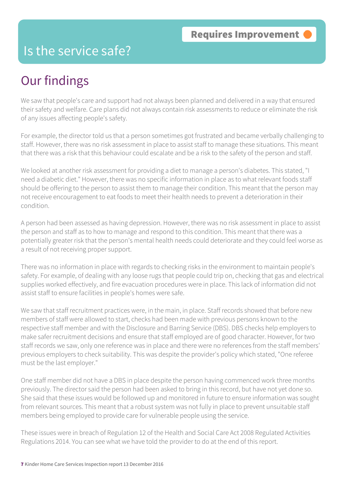### Is the service safe?

# Our findings

We saw that people's care and support had not always been planned and delivered in a way that ensured their safety and welfare. Care plans did not always contain risk assessments to reduce or eliminate the risk of any issues affecting people's safety.

For example, the director told us that a person sometimes got frustrated and became verbally challenging to staff. However, there was no risk assessment in place to assist staff to manage these situations. This meant that there was a risk that this behaviour could escalate and be a risk to the safety of the person and staff.

We looked at another risk assessment for providing a diet to manage a person's diabetes. This stated, "I need a diabetic diet." However, there was no specific information in place as to what relevant foods staff should be offering to the person to assist them to manage their condition. This meant that the person may not receive encouragement to eat foods to meet their health needs to prevent a deterioration in their condition.

A person had been assessed as having depression. However, there was no risk assessment in place to assist the person and staff as to how to manage and respond to this condition. This meant that there was a potentially greater risk that the person's mental health needs could deteriorate and they could feel worse as a result of not receiving proper support.

There was no information in place with regards to checking risks in the environment to maintain people's safety. For example, of dealing with any loose rugs that people could trip on, checking that gas and electrical supplies worked effectively, and fire evacuation procedures were in place. This lack of information did not assist staff to ensure facilities in people's homes were safe.

We saw that staff recruitment practices were, in the main, in place. Staff records showed that before new members of staff were allowed to start, checks had been made with previous persons known to the respective staff member and with the Disclosure and Barring Service (DBS). DBS checks help employers to make safer recruitment decisions and ensure that staff employed are of good character. However, for two staff records we saw, only one reference was in place and there were no references from the staff members' previous employers to check suitability. This was despite the provider's policy which stated, "One referee must be the last employer."

One staff member did not have a DBS in place despite the person having commenced work three months previously. The director said the person had been asked to bring in this record, but have not yet done so. She said that these issues would be followed up and monitored in future to ensure information was sought from relevant sources. This meant that a robust system was not fully in place to prevent unsuitable staff members being employed to provide care for vulnerable people using the service.

These issues were in breach of Regulation 12 of the Health and Social Care Act 2008 Regulated Activities Regulations 2014. You can see what we have told the provider to do at the end of this report.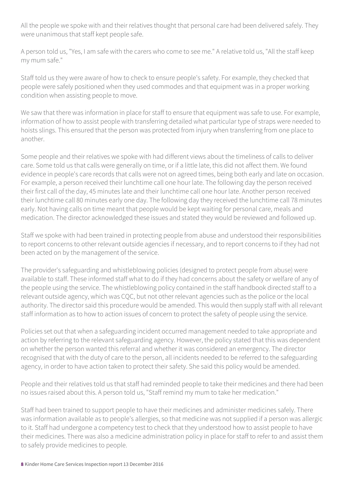All the people we spoke with and their relatives thought that personal care had been delivered safely. They were unanimous that staff kept people safe.

A person told us, "Yes, I am safe with the carers who come to see me." A relative told us, "All the staff keep my mum safe."

Staff told us they were aware of how to check to ensure people's safety. For example, they checked that people were safely positioned when they used commodes and that equipment was in a proper working condition when assisting people to move.

We saw that there was information in place for staff to ensure that equipment was safe to use. For example, information of how to assist people with transferring detailed what particular type of straps were needed to hoists slings. This ensured that the person was protected from injury when transferring from one place to another.

Some people and their relatives we spoke with had different views about the timeliness of calls to deliver care. Some told us that calls were generally on time, or if a little late, this did not affect them. We found evidence in people's care records that calls were not on agreed times, being both early and late on occasion. For example, a person received their lunchtime call one hour late. The following day the person received their first call of the day, 45 minutes late and their lunchtime call one hour late. Another person received their lunchtime call 80 minutes early one day. The following day they received the lunchtime call 78 minutes early. Not having calls on time meant that people would be kept waiting for personal care, meals and medication. The director acknowledged these issues and stated they would be reviewed and followed up.

Staff we spoke with had been trained in protecting people from abuse and understood their responsibilities to report concerns to other relevant outside agencies if necessary, and to report concerns to if they had not been acted on by the management of the service.

The provider's safeguarding and whistleblowing policies (designed to protect people from abuse) were available to staff. These informed staff what to do if they had concerns about the safety or welfare of any of the people using the service. The whistleblowing policy contained in the staff handbook directed staff to a relevant outside agency, which was CQC, but not other relevant agencies such as the police or the local authority. The director said this procedure would be amended. This would then supply staff with all relevant staff information as to how to action issues of concern to protect the safety of people using the service.

Policies set out that when a safeguarding incident occurred management needed to take appropriate and action by referring to the relevant safeguarding agency. However, the policy stated that this was dependent on whether the person wanted this referral and whether it was considered an emergency. The director recognised that with the duty of care to the person, all incidents needed to be referred to the safeguarding agency, in order to have action taken to protect their safety. She said this policy would be amended.

People and their relatives told us that staff had reminded people to take their medicines and there had been no issues raised about this. A person told us, "Staff remind my mum to take her medication."

Staff had been trained to support people to have their medicines and administer medicines safely. There was information available as to people's allergies, so that medicine was not supplied if a person was allergic to it. Staff had undergone a competency test to check that they understood how to assist people to have their medicines. There was also a medicine administration policy in place for staff to refer to and assist them to safely provide medicines to people.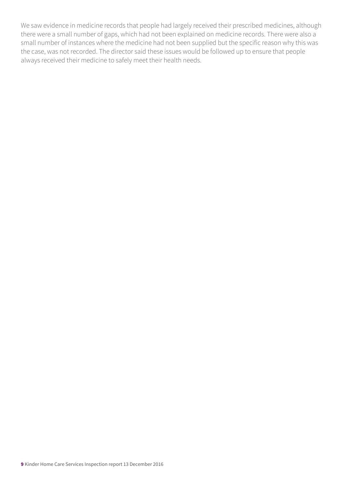We saw evidence in medicine records that people had largely received their prescribed medicines, although there were a small number of gaps, which had not been explained on medicine records. There were also a small number of instances where the medicine had not been supplied but the specific reason why this was the case, was not recorded. The director said these issues would be followed up to ensure that people always received their medicine to safely meet their health needs.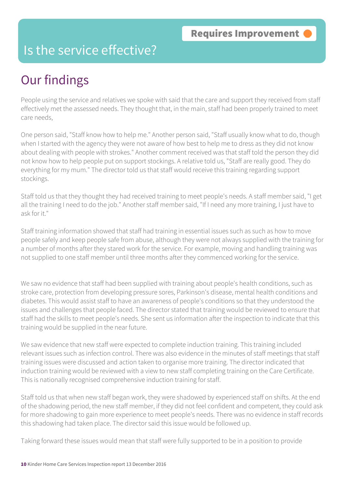### Is the service effective?

# Our findings

People using the service and relatives we spoke with said that the care and support they received from staff effectively met the assessed needs. They thought that, in the main, staff had been properly trained to meet care needs,

One person said, "Staff know how to help me." Another person said, "Staff usually know what to do, though when I started with the agency they were not aware of how best to help me to dress as they did not know about dealing with people with strokes." Another comment received was that staff told the person they did not know how to help people put on support stockings. A relative told us, "Staff are really good. They do everything for my mum." The director told us that staff would receive this training regarding support stockings.

Staff told us that they thought they had received training to meet people's needs. A staff member said, "I get all the training I need to do the job." Another staff member said, "If I need any more training, I just have to ask for it."

Staff training information showed that staff had training in essential issues such as such as how to move people safely and keep people safe from abuse, although they were not always supplied with the training for a number of months after they stared work for the service. For example, moving and handling training was not supplied to one staff member until three months after they commenced working for the service.

We saw no evidence that staff had been supplied with training about people's health conditions, such as stroke care, protection from developing pressure sores, Parkinson's disease, mental health conditions and diabetes. This would assist staff to have an awareness of people's conditions so that they understood the issues and challenges that people faced. The director stated that training would be reviewed to ensure that staff had the skills to meet people's needs. She sent us information after the inspection to indicate that this training would be supplied in the near future.

We saw evidence that new staff were expected to complete induction training. This training included relevant issues such as infection control. There was also evidence in the minutes of staff meetings that staff training issues were discussed and action taken to organise more training. The director indicated that induction training would be reviewed with a view to new staff completing training on the Care Certificate. This is nationally recognised comprehensive induction training for staff.

Staff told us that when new staff began work, they were shadowed by experienced staff on shifts. At the end of the shadowing period, the new staff member, if they did not feel confident and competent, they could ask for more shadowing to gain more experience to meet people's needs. There was no evidence in staff records this shadowing had taken place. The director said this issue would be followed up.

Taking forward these issues would mean that staff were fully supported to be in a position to provide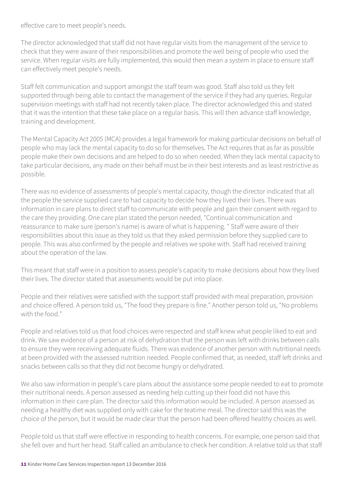effective care to meet people's needs.

The director acknowledged that staff did not have regular visits from the management of the service to check that they were aware of their responsibilities and promote the well being of people who used the service. When regular visits are fully implemented, this would then mean a system in place to ensure staff can effectively meet people's needs.

Staff felt communication and support amongst the staff team was good. Staff also told us they felt supported through being able to contact the management of the service if they had any queries. Regular supervision meetings with staff had not recently taken place. The director acknowledged this and stated that it was the intention that these take place on a regular basis. This will then advance staff knowledge, training and development.

The Mental Capacity Act 2005 (MCA) provides a legal framework for making particular decisions on behalf of people who may lack the mental capacity to do so for themselves. The Act requires that as far as possible people make their own decisions and are helped to do so when needed. When they lack mental capacity to take particular decisions, any made on their behalf must be in their best interests and as least restrictive as possible.

There was no evidence of assessments of people's mental capacity, though the director indicated that all the people the service supplied care to had capacity to decide how they lived their lives. There was information in care plans to direct staff to communicate with people and gain their consent with regard to the care they providing. One care plan stated the person needed, "Continual communication and reassurance to make sure (person's name) is aware of what is happening. " Staff were aware of their responsibilities about this issue as they told us that they asked permission before they supplied care to people. This was also confirmed by the people and relatives we spoke with. Staff had received training about the operation of the law.

This meant that staff were in a position to assess people's capacity to make decisions about how they lived their lives. The director stated that assessments would be put into place.

People and their relatives were satisfied with the support staff provided with meal preparation, provision and choice offered. A person told us, "The food they prepare is fine." Another person told us, "No problems with the food."

People and relatives told us that food choices were respected and staff knew what people liked to eat and drink. We saw evidence of a person at risk of dehydration that the person was left with drinks between calls to ensure they were receiving adequate fluids. There was evidence of another person with nutritional needs at been provided with the assessed nutrition needed. People confirmed that, as needed, staff left drinks and snacks between calls so that they did not become hungry or dehydrated.

We also saw information in people's care plans about the assistance some people needed to eat to promote their nutritional needs. A person assessed as needing help cutting up their food did not have this information in their care plan. The director said this information would be included. A person assessed as needing a healthy diet was supplied only with cake for the teatime meal. The director said this was the choice of the person, but it would be made clear that the person had been offered healthy choices as well.

People told us that staff were effective in responding to health concerns. For example, one person said that she fell over and hurt her head. Staff called an ambulance to check her condition. A relative told us that staff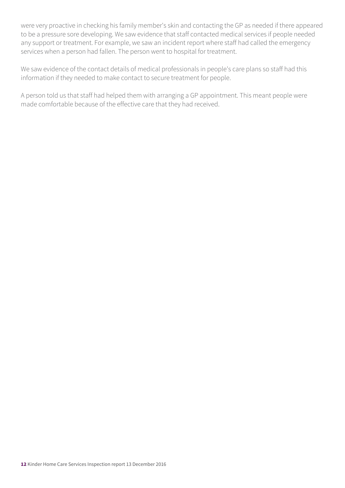were very proactive in checking his family member's skin and contacting the GP as needed if there appeared to be a pressure sore developing. We saw evidence that staff contacted medical services if people needed any support or treatment. For example, we saw an incident report where staff had called the emergency services when a person had fallen. The person went to hospital for treatment.

We saw evidence of the contact details of medical professionals in people's care plans so staff had this information if they needed to make contact to secure treatment for people.

A person told us that staff had helped them with arranging a GP appointment. This meant people were made comfortable because of the effective care that they had received.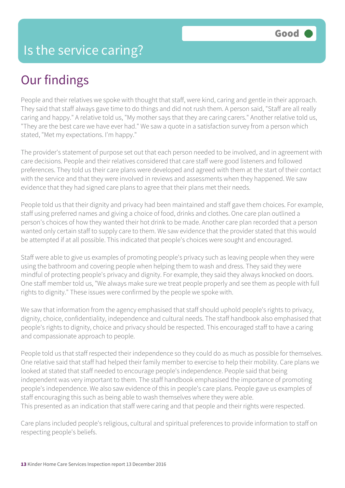# Our findings

People and their relatives we spoke with thought that staff, were kind, caring and gentle in their approach. They said that staff always gave time to do things and did not rush them. A person said, "Staff are all really caring and happy." A relative told us, "My mother says that they are caring carers." Another relative told us, "They are the best care we have ever had." We saw a quote in a satisfaction survey from a person which stated, "Met my expectations. I'm happy."

The provider's statement of purpose set out that each person needed to be involved, and in agreement with care decisions. People and their relatives considered that care staff were good listeners and followed preferences. They told us their care plans were developed and agreed with them at the start of their contact with the service and that they were involved in reviews and assessments when they happened. We saw evidence that they had signed care plans to agree that their plans met their needs.

People told us that their dignity and privacy had been maintained and staff gave them choices. For example, staff using preferred names and giving a choice of food, drinks and clothes. One care plan outlined a person's choices of how they wanted their hot drink to be made. Another care plan recorded that a person wanted only certain staff to supply care to them. We saw evidence that the provider stated that this would be attempted if at all possible. This indicated that people's choices were sought and encouraged.

Staff were able to give us examples of promoting people's privacy such as leaving people when they were using the bathroom and covering people when helping them to wash and dress. They said they were mindful of protecting people's privacy and dignity. For example, they said they always knocked on doors. One staff member told us, "We always make sure we treat people properly and see them as people with full rights to dignity." These issues were confirmed by the people we spoke with.

We saw that information from the agency emphasised that staff should uphold people's rights to privacy, dignity, choice, confidentiality, independence and cultural needs. The staff handbook also emphasised that people's rights to dignity, choice and privacy should be respected. This encouraged staff to have a caring and compassionate approach to people.

People told us that staff respected their independence so they could do as much as possible for themselves. One relative said that staff had helped their family member to exercise to help their mobility. Care plans we looked at stated that staff needed to encourage people's independence. People said that being independent was very important to them. The staff handbook emphasised the importance of promoting people's independence. We also saw evidence of this in people's care plans. People gave us examples of staff encouraging this such as being able to wash themselves where they were able. This presented as an indication that staff were caring and that people and their rights were respected.

Care plans included people's religious, cultural and spiritual preferences to provide information to staff on respecting people's beliefs.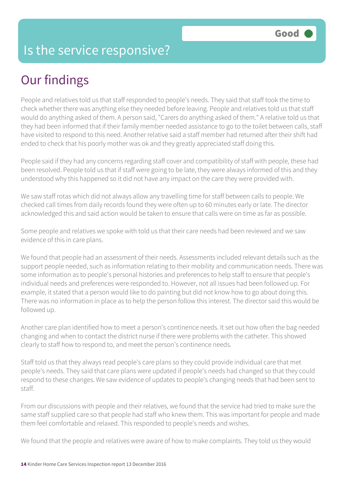### Is the service responsive?

# Our findings

People and relatives told us that staff responded to people's needs. They said that staff took the time to check whether there was anything else they needed before leaving. People and relatives told us that staff would do anything asked of them. A person said, "Carers do anything asked of them." A relative told us that they had been informed that if their family member needed assistance to go to the toilet between calls, staff have visited to respond to this need. Another relative said a staff member had returned after their shift had ended to check that his poorly mother was ok and they greatly appreciated staff doing this.

People said if they had any concerns regarding staff cover and compatibility of staff with people, these had been resolved. People told us that if staff were going to be late, they were always informed of this and they understood why this happened so it did not have any impact on the care they were provided with.

We saw staff rotas which did not always allow any travelling time for staff between calls to people. We checked call times from daily records found they were often up to 60 minutes early or late. The director acknowledged this and said action would be taken to ensure that calls were on time as far as possible.

Some people and relatives we spoke with told us that their care needs had been reviewed and we saw evidence of this in care plans.

We found that people had an assessment of their needs. Assessments included relevant details such as the support people needed, such as information relating to their mobility and communication needs. There was some information as to people's personal histories and preferences to help staff to ensure that people's individual needs and preferences were responded to. However, not all issues had been followed up. For example, it stated that a person would like to do painting but did not know how to go about doing this. There was no information in place as to help the person follow this interest. The director said this would be followed up.

Another care plan identified how to meet a person's continence needs. It set out how often the bag needed changing and when to contact the district nurse if there were problems with the catheter. This showed clearly to staff how to respond to, and meet the person's continence needs.

Staff told us that they always read people's care plans so they could provide individual care that met people's needs. They said that care plans were updated if people's needs had changed so that they could respond to these changes. We saw evidence of updates to people's changing needs that had been sent to staff.

From our discussions with people and their relatives, we found that the service had tried to make sure the same staff supplied care so that people had staff who knew them. This was important for people and made them feel comfortable and relaxed. This responded to people's needs and wishes.

We found that the people and relatives were aware of how to make complaints. They told us they would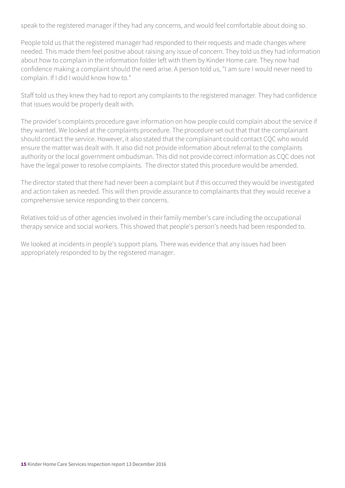speak to the registered manager if they had any concerns, and would feel comfortable about doing so.

People told us that the registered manager had responded to their requests and made changes where needed. This made them feel positive about raising any issue of concern. They told us they had information about how to complain in the information folder left with them by Kinder Home care. They now had confidence making a complaint should the need arise. A person told us, "I am sure I would never need to complain. If I did I would know how to."

Staff told us they knew they had to report any complaints to the registered manager. They had confidence that issues would be properly dealt with.

The provider's complaints procedure gave information on how people could complain about the service if they wanted. We looked at the complaints procedure. The procedure set out that that the complainant should contact the service. However, it also stated that the complainant could contact CQC who would ensure the matter was dealt with. It also did not provide information about referral to the complaints authority or the local government ombudsman. This did not provide correct information as CQC does not have the legal power to resolve complaints. The director stated this procedure would be amended.

The director stated that there had never been a complaint but if this occurred they would be investigated and action taken as needed. This will then provide assurance to complainants that they would receive a comprehensive service responding to their concerns.

Relatives told us of other agencies involved in their family member's care including the occupational therapy service and social workers. This showed that people's person's needs had been responded to.

We looked at incidents in people's support plans. There was evidence that any issues had been appropriately responded to by the registered manager.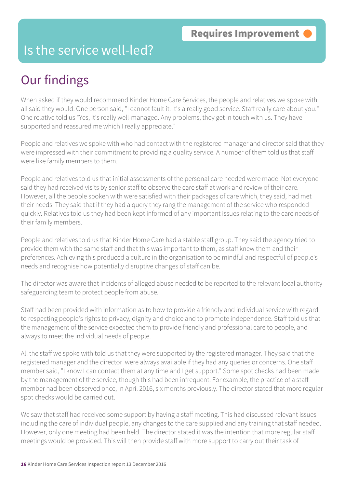### Is the service well-led?

# Our findings

When asked if they would recommend Kinder Home Care Services, the people and relatives we spoke with all said they would. One person said, "I cannot fault it. It's a really good service. Staff really care about you." One relative told us "Yes, it's really well-managed. Any problems, they get in touch with us. They have supported and reassured me which I really appreciate."

People and relatives we spoke with who had contact with the registered manager and director said that they were impressed with their commitment to providing a quality service. A number of them told us that staff were like family members to them.

People and relatives told us that initial assessments of the personal care needed were made. Not everyone said they had received visits by senior staff to observe the care staff at work and review of their care. However, all the people spoken with were satisfied with their packages of care which, they said, had met their needs. They said that if they had a query they rang the management of the service who responded quickly. Relatives told us they had been kept informed of any important issues relating to the care needs of their family members.

People and relatives told us that Kinder Home Care had a stable staff group. They said the agency tried to provide them with the same staff and that this was important to them, as staff knew them and their preferences. Achieving this produced a culture in the organisation to be mindful and respectful of people's needs and recognise how potentially disruptive changes of staff can be.

The director was aware that incidents of alleged abuse needed to be reported to the relevant local authority safeguarding team to protect people from abuse.

Staff had been provided with information as to how to provide a friendly and individual service with regard to respecting people's rights to privacy, dignity and choice and to promote independence. Staff told us that the management of the service expected them to provide friendly and professional care to people, and always to meet the individual needs of people.

All the staff we spoke with told us that they were supported by the registered manager. They said that the registered manager and the director were always available if they had any queries or concerns. One staff member said, "I know I can contact them at any time and I get support." Some spot checks had been made by the management of the service, though this had been infrequent. For example, the practice of a staff member had been observed once, in April 2016, six months previously. The director stated that more regular spot checks would be carried out.

We saw that staff had received some support by having a staff meeting. This had discussed relevant issues including the care of individual people, any changes to the care supplied and any training that staff needed. However, only one meeting had been held. The director stated it was the intention that more regular staff meetings would be provided. This will then provide staff with more support to carry out their task of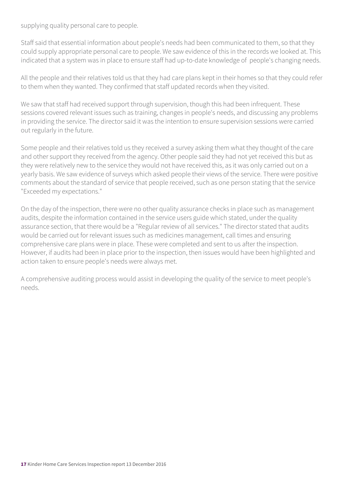supplying quality personal care to people.

Staff said that essential information about people's needs had been communicated to them, so that they could supply appropriate personal care to people. We saw evidence of this in the records we looked at. This indicated that a system was in place to ensure staff had up-to-date knowledge of people's changing needs.

All the people and their relatives told us that they had care plans kept in their homes so that they could refer to them when they wanted. They confirmed that staff updated records when they visited.

We saw that staff had received support through supervision, though this had been infrequent. These sessions covered relevant issues such as training, changes in people's needs, and discussing any problems in providing the service. The director said it was the intention to ensure supervision sessions were carried out regularly in the future.

Some people and their relatives told us they received a survey asking them what they thought of the care and other support they received from the agency. Other people said they had not yet received this but as they were relatively new to the service they would not have received this, as it was only carried out on a yearly basis. We saw evidence of surveys which asked people their views of the service. There were positive comments about the standard of service that people received, such as one person stating that the service "Exceeded my expectations."

On the day of the inspection, there were no other quality assurance checks in place such as management audits, despite the information contained in the service users guide which stated, under the quality assurance section, that there would be a "Regular review of all services." The director stated that audits would be carried out for relevant issues such as medicines management, call times and ensuring comprehensive care plans were in place. These were completed and sent to us after the inspection. However, if audits had been in place prior to the inspection, then issues would have been highlighted and action taken to ensure people's needs were always met.

A comprehensive auditing process would assist in developing the quality of the service to meet people's needs.